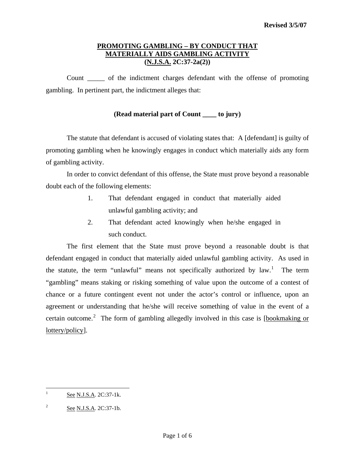# **PROMOTING GAMBLING – BY CONDUCT THAT MATERIALLY AIDS GAMBLING ACTIVITY (N.J.S.A. 2C:37-2a(2))**

Count \_\_\_\_\_ of the indictment charges defendant with the offense of promoting gambling. In pertinent part, the indictment alleges that:

# **(Read material part of Count \_\_\_\_ to jury)**

 The statute that defendant is accused of violating states that: A [defendant] is guilty of promoting gambling when he knowingly engages in conduct which materially aids any form of gambling activity.

 In order to convict defendant of this offense, the State must prove beyond a reasonable doubt each of the following elements:

- 1. That defendant engaged in conduct that materially aided unlawful gambling activity; and
- 2. That defendant acted knowingly when he/she engaged in such conduct.

 The first element that the State must prove beyond a reasonable doubt is that defendant engaged in conduct that materially aided unlawful gambling activity. As used in the statute, the term "unlawful" means not specifically authorized by  $law$ .<sup>[1](#page-0-0)</sup> The term "gambling" means staking or risking something of value upon the outcome of a contest of chance or a future contingent event not under the actor's control or influence, upon an agreement or understanding that he/she will receive something of value in the event of a certain outcome.<sup>[2](#page-0-1)</sup> The form of gambling allegedly involved in this case is  $[bookmaking or]$ lottery/policy].

<span id="page-0-2"></span><span id="page-0-0"></span> $\frac{1}{1}$ See N.J.S.A. 2C:37-1k.

<span id="page-0-1"></span><sup>2</sup> See N.J.S.A. 2C:37-1b.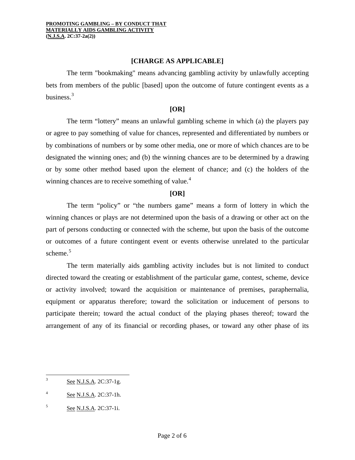## **[CHARGE AS APPLICABLE]**

The term "bookmaking" means advancing gambling activity by unlawfully accepting bets from members of the public [based] upon the outcome of future contingent events as a business. $3$ 

#### **[OR]**

 The term "lottery" means an unlawful gambling scheme in which (a) the players pay or agree to pay something of value for chances, represented and differentiated by numbers or by combinations of numbers or by some other media, one or more of which chances are to be designated the winning ones; and (b) the winning chances are to be determined by a drawing or by some other method based upon the element of chance; and (c) the holders of the winning chances are to receive something of value. $4$ 

## **[OR]**

 The term "policy" or "the numbers game" means a form of lottery in which the winning chances or plays are not determined upon the basis of a drawing or other act on the part of persons conducting or connected with the scheme, but upon the basis of the outcome or outcomes of a future contingent event or events otherwise unrelated to the particular scheme. $5$ 

 The term materially aids gambling activity includes but is not limited to conduct directed toward the creating or establishment of the particular game, contest, scheme, device or activity involved; toward the acquisition or maintenance of premises, paraphernalia, equipment or apparatus therefore; toward the solicitation or inducement of persons to participate therein; toward the actual conduct of the playing phases thereof; toward the arrangement of any of its financial or recording phases, or toward any other phase of its

<span id="page-1-2"></span><sup>&</sup>lt;sup>2</sup><br>3 See N.J.S.A. 2C:37-1g.

<span id="page-1-0"></span><sup>4</sup> See N.J.S.A. 2C:37-1h.

<span id="page-1-1"></span><sup>5</sup> See N.J.S.A. 2C:37-1i.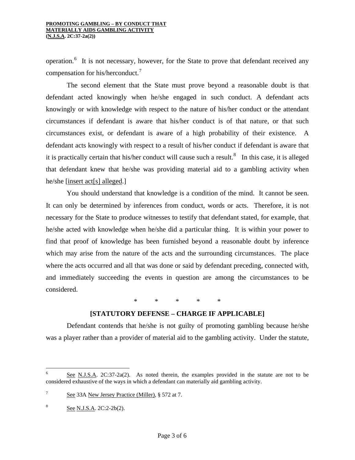#### **PROMOTING GAMBLING – BY CONDUCT THAT MATERIALLY AIDS GAMBLING ACTIVITY (N.J.S.A. 2C:37-2a(2))**

operation.<sup>[6](#page-1-2)</sup> It is not necessary, however, for the State to prove that defendant received any compensation for his/herconduct.[7](#page-2-0)

 The second element that the State must prove beyond a reasonable doubt is that defendant acted knowingly when he/she engaged in such conduct. A defendant acts knowingly or with knowledge with respect to the nature of his/her conduct or the attendant circumstances if defendant is aware that his/her conduct is of that nature, or that such circumstances exist, or defendant is aware of a high probability of their existence. A defendant acts knowingly with respect to a result of his/her conduct if defendant is aware that it is practically certain that his/her conduct will cause such a result.<sup>[8](#page-2-1)</sup> In this case, it is alleged that defendant knew that he/she was providing material aid to a gambling activity when he/she [insert act[s] alleged.]

 You should understand that knowledge is a condition of the mind. It cannot be seen. It can only be determined by inferences from conduct, words or acts. Therefore, it is not necessary for the State to produce witnesses to testify that defendant stated, for example, that he/she acted with knowledge when he/she did a particular thing. It is within your power to find that proof of knowledge has been furnished beyond a reasonable doubt by inference which may arise from the nature of the acts and the surrounding circumstances. The place where the acts occurred and all that was done or said by defendant preceding, connected with, and immediately succeeding the events in question are among the circumstances to be considered.

\* \* \* \* \*

## **[STATUTORY DEFENSE – CHARGE IF APPLICABLE]**

 Defendant contends that he/she is not guilty of promoting gambling because he/she was a player rather than a provider of material aid to the gambling activity. Under the statute,

<span id="page-2-2"></span> 6 See N.J.S.A. 2C:37-2a(2). As noted therein, the examples provided in the statute are not to be considered exhaustive of the ways in which a defendant can materially aid gambling activity.

<span id="page-2-0"></span><sup>7</sup> See 33A New Jersey Practice (Miller), § 572 at 7.

<span id="page-2-1"></span><sup>8</sup> See N.J.S.A. 2C:2-2b(2).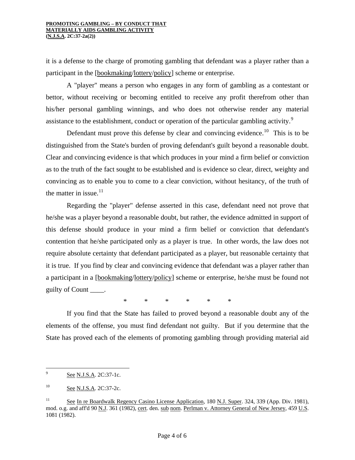#### **PROMOTING GAMBLING – BY CONDUCT THAT MATERIALLY AIDS GAMBLING ACTIVITY (N.J.S.A. 2C:37-2a(2))**

it is a defense to the charge of promoting gambling that defendant was a player rather than a participant in the [bookmaking/lottery/policy] scheme or enterprise.

 A "player" means a person who engages in any form of gambling as a contestant or bettor, without receiving or becoming entitled to receive any profit therefrom other than his/her personal gambling winnings, and who does not otherwise render any material assistance to the establishment, conduct or operation of the particular gambling activity.<sup>[9](#page-2-2)</sup>

Defendant must prove this defense by clear and convincing evidence.<sup>[10](#page-3-0)</sup> This is to be distinguished from the State's burden of proving defendant's guilt beyond a reasonable doubt. Clear and convincing evidence is that which produces in your mind a firm belief or conviction as to the truth of the fact sought to be established and is evidence so clear, direct, weighty and convincing as to enable you to come to a clear conviction, without hesitancy, of the truth of the matter in issue. $11$ 

 Regarding the "player" defense asserted in this case, defendant need not prove that he/she was a player beyond a reasonable doubt, but rather, the evidence admitted in support of this defense should produce in your mind a firm belief or conviction that defendant's contention that he/she participated only as a player is true. In other words, the law does not require absolute certainty that defendant participated as a player, but reasonable certainty that it is true. If you find by clear and convincing evidence that defendant was a player rather than a participant in a [bookmaking/lottery/policy] scheme or enterprise, he/she must be found not guilty of Count \_\_\_\_.

\* \* \* \* \* \*

 If you find that the State has failed to proved beyond a reasonable doubt any of the elements of the offense, you must find defendant not guilty. But if you determine that the State has proved each of the elements of promoting gambling through providing material aid

<span id="page-3-2"></span><sup>-&</sup>lt;br>9 See N.J.S.A. 2C:37-1c.

<span id="page-3-0"></span><sup>&</sup>lt;sup>10</sup> See N.J.S.A. 2C:37-2c.

<span id="page-3-1"></span><sup>&</sup>lt;sup>11</sup> See In re Boardwalk Regency Casino License Application, 180 N.J. Super. 324, 339 (App. Div. 1981), mod. o.g. and aff'd 90 N.J. 361 (1982), cert. den. sub nom. Perlman v. Attorney General of New Jersey, 459 U.S. 1081 (1982).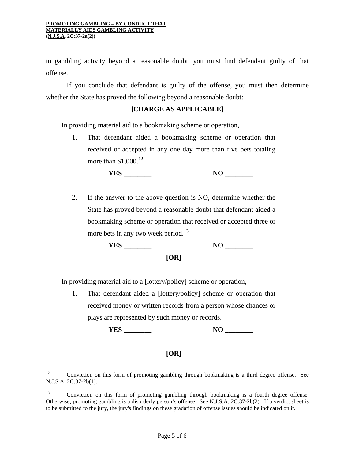#### **PROMOTING GAMBLING – BY CONDUCT THAT MATERIALLY AIDS GAMBLING ACTIVITY (N.J.S.A. 2C:37-2a(2))**

to gambling activity beyond a reasonable doubt, you must find defendant guilty of that offense.

 If you conclude that defendant is guilty of the offense, you must then determine whether the State has proved the following beyond a reasonable doubt:

# **[CHARGE AS APPLICABLE]**

In providing material aid to a bookmaking scheme or operation,

1. That defendant aided a bookmaking scheme or operation that received or accepted in any one day more than five bets totaling more than  $$1,000$ .<sup>[12](#page-3-2)</sup>

 **YES \_\_\_\_\_\_\_\_ NO \_\_\_\_\_\_\_\_** 

2. If the answer to the above question is NO, determine whether the State has proved beyond a reasonable doubt that defendant aided a bookmaking scheme or operation that received or accepted three or more bets in any two week period.<sup>[13](#page-4-0)</sup>

 **YES \_\_\_\_\_\_\_\_ NO \_\_\_\_\_\_\_\_** 

# **[OR]**

In providing material aid to a [lottery/policy] scheme or operation,

1. That defendant aided a [lottery/policy] scheme or operation that received money or written records from a person whose chances or plays are represented by such money or records.

 **YES \_\_\_\_\_\_\_\_ NO \_\_\_\_\_\_\_\_** 

## **[OR]**

 $12$ Conviction on this form of promoting gambling through bookmaking is a third degree offense. See N.J.S.A. 2C:37-2b(1).

<span id="page-4-0"></span><sup>&</sup>lt;sup>13</sup> Conviction on this form of promoting gambling through bookmaking is a fourth degree offense. Otherwise, promoting gambling is a disorderly person's offense. See N.J.S.A. 2C:37-2b(2). If a verdict sheet is to be submitted to the jury, the jury's findings on these gradation of offense issues should be indicated on it.